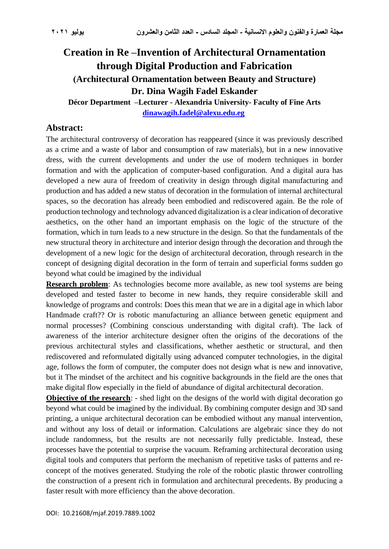# **Creation in Re –Invention of Architectural Ornamentation through Digital Production and Fabrication )Architectural Ornamentation between Beauty and Structure) Dr. Dina Wagih Fadel Eskander**

**Décor Department –Lecturer - Alexandria University- Faculty of Fine Arts [dinawagih.fadel@alexu.edu.eg](mailto:dinawagih.fadel@alexu.edu.eg)**

## **Abstract:**

The architectural controversy of decoration has reappeared (since it was previously described as a crime and a waste of labor and consumption of raw materials), but in a new innovative dress, with the current developments and under the use of modern techniques in border formation and with the application of computer-based configuration. And a digital aura has developed a new aura of freedom of creativity in design through digital manufacturing and production and has added a new status of decoration in the formulation of internal architectural spaces, so the decoration has already been embodied and rediscovered again. Be the role of production technology and technology advanced digitalization is a clear indication of decorative aesthetics, on the other hand an important emphasis on the logic of the structure of the formation, which in turn leads to a new structure in the design. So that the fundamentals of the new structural theory in architecture and interior design through the decoration and through the development of a new logic for the design of architectural decoration, through research in the concept of designing digital decoration in the form of terrain and superficial forms sudden go beyond what could be imagined by the individual

**Research problem**: As technologies become more available, as new tool systems are being developed and tested faster to become in new hands, they require considerable skill and knowledge of programs and controls: Does this mean that we are in a digital age in which labor Handmade craft?? Or is robotic manufacturing an alliance between genetic equipment and normal processes? (Combining conscious understanding with digital craft). The lack of awareness of the interior architecture designer often the origins of the decorations of the previous architectural styles and classifications, whether aesthetic or structural, and then rediscovered and reformulated digitally using advanced computer technologies, in the digital age, follows the form of computer, the computer does not design what is new and innovative, but it The mindset of the architect and his cognitive backgrounds in the field are the ones that make digital flow especially in the field of abundance of digital architectural decoration .

**Objective of the research:** - shed light on the designs of the world with digital decoration go beyond what could be imagined by the individual. By combining computer design and 3D sand printing, a unique architectural decoration can be embodied without any manual intervention, and without any loss of detail or information. Calculations are algebraic since they do not include randomness, but the results are not necessarily fully predictable. Instead, these processes have the potential to surprise the vacuum. Reframing architectural decoration using digital tools and computers that perform the mechanism of repetitive tasks of patterns and reconcept of the motives generated. Studying the role of the robotic plastic thrower controlling the construction of a present rich in formulation and architectural precedents. By producing a faster result with more efficiency than the above decoration .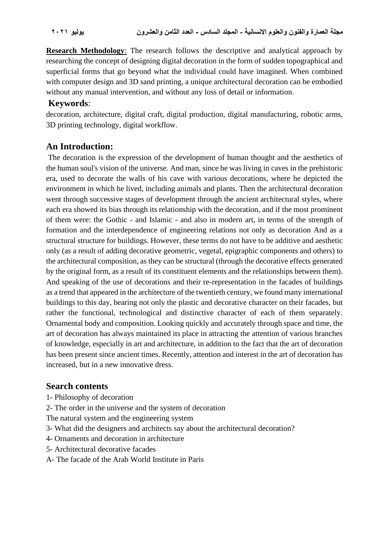**Research Methodology**: The research follows the descriptive and analytical approach by researching the concept of designing digital decoration in the form of sudden topographical and superficial forms that go beyond what the individual could have imagined. When combined with computer design and 3D sand printing, a unique architectural decoration can be embodied without any manual intervention, and without any loss of detail or information.

## **Keywords**:

decoration, architecture, digital craft, digital production, digital manufacturing, robotic arms, 3D printing technology, digital workflow.

# **An Introduction:**

The decoration is the expression of the development of human thought and the aesthetics of the human soul's vision of the universe. And man, since he was living in caves in the prehistoric era, used to decorate the walls of his cave with various decorations, where he depicted the environment in which he lived, including animals and plants. Then the architectural decoration went through successive stages of development through the ancient architectural styles, where each era showed its bias through its relationship with the decoration, and if the most prominent of them were: the Gothic - and Islamic - and also in modern art, in terms of the strength of formation and the interdependence of engineering relations not only as decoration And as a structural structure for buildings. However, these terms do not have to be additive and aesthetic only (as a result of adding decorative geometric, vegetal, epigraphic components and others) to the architectural composition, as they can be structural (through the decorative effects generated by the original form, as a result of its constituent elements and the relationships between them). And speaking of the use of decorations and their re-representation in the facades of buildings as a trend that appeared in the architecture of the twentieth century, we found many international buildings to this day, bearing not only the plastic and decorative character on their facades, but rather the functional, technological and distinctive character of each of them separately. Ornamental body and composition. Looking quickly and accurately through space and time, the art of decoration has always maintained its place in attracting the attention of various branches of knowledge, especially in art and architecture, in addition to the fact that the art of decoration has been present since ancient times. Recently, attention and interest in the art of decoration has increased, but in a new innovative dress.

# **Search contents**

- 1- Philosophy of decoration
- 2- The order in the universe and the system of decoration
- The natural system and the engineering system
- 3- What did the designers and architects say about the architectural decoration?
- 4- Ornaments and decoration in architecture
- 5- Architectural decorative facades
- A- The facade of the Arab World Institute in Paris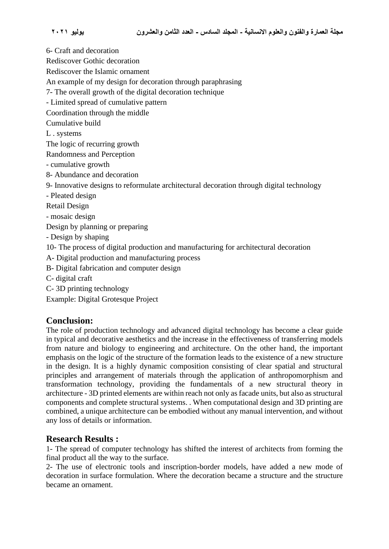6- Craft and decoration

Rediscover Gothic decoration

Rediscover the Islamic ornament

An example of my design for decoration through paraphrasing

7- The overall growth of the digital decoration technique

- Limited spread of cumulative pattern

Coordination through the middle

Cumulative build

L . systems

The logic of recurring growth

Randomness and Perception

- cumulative growth

8- Abundance and decoration

9- Innovative designs to reformulate architectural decoration through digital technology

- Pleated design

Retail Design

- mosaic design

Design by planning or preparing

- Design by shaping

10- The process of digital production and manufacturing for architectural decoration

A- Digital production and manufacturing process

B- Digital fabrication and computer design

C- digital craft

C- 3D printing technology

Example: Digital Grotesque Project

#### **Conclusion:**

The role of production technology and advanced digital technology has become a clear guide in typical and decorative aesthetics and the increase in the effectiveness of transferring models from nature and biology to engineering and architecture. On the other hand, the important emphasis on the logic of the structure of the formation leads to the existence of a new structure in the design. It is a highly dynamic composition consisting of clear spatial and structural principles and arrangement of materials through the application of anthropomorphism and transformation technology, providing the fundamentals of a new structural theory in architecture - 3D printed elements are within reach not only as facade units, but also as structural components and complete structural systems. . When computational design and 3D printing are combined, a unique architecture can be embodied without any manual intervention, and without any loss of details or information.

# **Research Results :**

1- The spread of computer technology has shifted the interest of architects from forming the final product all the way to the surface.

2- The use of electronic tools and inscription-border models, have added a new mode of decoration in surface formulation. Where the decoration became a structure and the structure became an ornament.